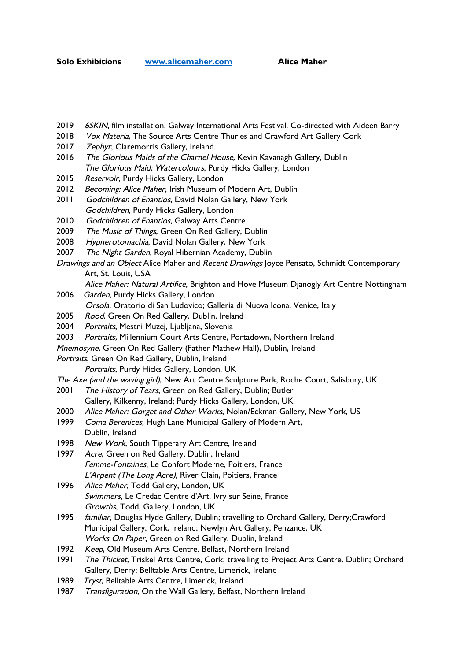- 2019 6SKIN, film installation. Galway International Arts Festival. Co-directed with Aideen Barry
- 2018 Vox Materia, The Source Arts Centre Thurles and Crawford Art Gallery Cork
- 2017 Zephyr, Claremorris Gallery, Ireland.
- 2016 The Glorious Maids of the Charnel House, Kevin Kavanagh Gallery, Dublin The Glorious Maid; Watercolours, Purdy Hicks Gallery, London
- 2015 Reservoir, Purdy Hicks Gallery, London
- 2012 Becoming: Alice Maher, Irish Museum of Modern Art, Dublin
- 2011 Godchildren of Enantios, David Nolan Gallery, New York Godchildren, Purdy Hicks Gallery, London
- 2010 Godchildren of Enantios, Galway Arts Centre
- 2009 The Music of Things, Green On Red Gallery, Dublin
- 2008 Hypnerotomachia, David Nolan Gallery, New York
- 2007 The Night Garden, Royal Hibernian Academy, Dublin
- Drawings and an Object Alice Maher and Recent Drawings Joyce Pensato, Schmidt Contemporary Art, St. Louis, USA
	- Alice Maher: Natural Artifice, Brighton and Hove Museum Dianogly Art Centre Nottingham
- 2006 Garden, Purdy Hicks Gallery, London Orsola, Oratorio di San Ludovico; Galleria di Nuova Icona, Venice, Italy
- 2005 Rood, Green On Red Gallery, Dublin, Ireland
- 2004 Portraits, Mestni Muzej, Ljubljana, Slovenia
- 2003 Portraits, Millennium Court Arts Centre, Portadown, Northern Ireland
- Mnemosyne, Green On Red Gallery (Father Mathew Hall), Dublin, Ireland
- Portraits, Green On Red Gallery, Dublin, Ireland
	- Portraits, Purdy Hicks Gallery, London, UK
- The Axe (and the waving girl), New Art Centre Sculpture Park, Roche Court, Salisbury, UK
- 2001 The History of Tears, Green on Red Gallery, Dublin; Butler Gallery, Kilkenny, Ireland; Purdy Hicks Gallery, London, UK
- 2000 Alice Maher: Gorget and Other Works, Nolan/Eckman Gallery, New York, US
- 1999 Coma Berenices, Hugh Lane Municipal Gallery of Modern Art, Dublin, Ireland
- 1998 New Work, South Tipperary Art Centre, Ireland
- 1997 Acre, Green on Red Gallery, Dublin, Ireland Femme-Fontaines, Le Confort Moderne, Poitiers, France L'Arpent (The Long Acre), River Clain, Poitiers, France
- 1996 Alice Maher, Todd Gallery, London, UK Swimmers, Le Credac Centre d'Art, Ivry sur Seine, France Growths, Todd, Gallery, London, UK
- 1995 familiar, Douglas Hyde Gallery, Dublin; travelling to Orchard Gallery, Derry;Crawford Municipal Gallery, Cork, Ireland; Newlyn Art Gallery, Penzance, UK Works On Paper, Green on Red Gallery, Dublin, Ireland
- 1992 Keep, Old Museum Arts Centre. Belfast, Northern Ireland
- 1991 The Thicket, Triskel Arts Centre, Cork; travelling to Project Arts Centre. Dublin; Orchard Gallery, Derry; Belltable Arts Centre, Limerick, Ireland
- 1989 Tryst, Belltable Arts Centre, Limerick, Ireland
- 1987 Transfiguration, On the Wall Gallery, Belfast, Northern Ireland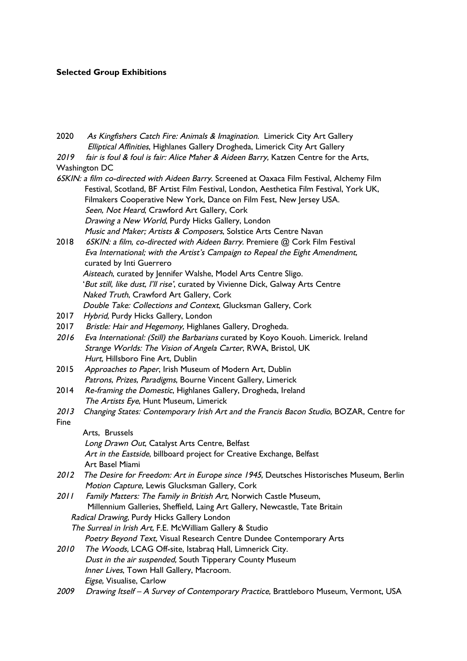# **Selected Group Exhibitions**

| 2020                                                                                        | As Kingfishers Catch Fire: Animals & Imagination. Limerick City Art Gallery             |  |
|---------------------------------------------------------------------------------------------|-----------------------------------------------------------------------------------------|--|
|                                                                                             | Elliptical Affinities, Highlanes Gallery Drogheda, Limerick City Art Gallery            |  |
| 2019                                                                                        | fair is foul & foul is fair: Alice Maher & Aideen Barry, Katzen Centre for the Arts,    |  |
|                                                                                             | <b>Washington DC</b>                                                                    |  |
| 6SKIN: a film co-directed with Aideen Barry. Screened at Oaxaca Film Festival, Alchemy Film |                                                                                         |  |
|                                                                                             | Festival, Scotland, BF Artist Film Festival, London, Aesthetica Film Festival, York UK, |  |
|                                                                                             | Filmakers Cooperative New York, Dance on Film Fest, New Jersey USA.                     |  |
|                                                                                             | Seen, Not Heard, Crawford Art Gallery, Cork                                             |  |
|                                                                                             | Drawing a New World, Purdy Hicks Gallery, London                                        |  |
|                                                                                             | Music and Maker; Artists & Composers, Solstice Arts Centre Navan                        |  |
| 2018                                                                                        | 6SKIN: a film, co-directed with Aideen Barry. Premiere @ Cork Film Festival             |  |
|                                                                                             | Eva International; with the Artist's Campaign to Repeal the Eight Amendment,            |  |
|                                                                                             | curated by Inti Guerrero                                                                |  |
|                                                                                             | Aisteach, curated by Jennifer Walshe, Model Arts Centre Sligo.                          |  |
|                                                                                             | 'But still, like dust, I'll rise', curated by Vivienne Dick, Galway Arts Centre         |  |
|                                                                                             | Naked Truth, Crawford Art Gallery, Cork                                                 |  |
|                                                                                             | Double Take: Collections and Context, Glucksman Gallery, Cork                           |  |
| 2017                                                                                        | Hybrid, Purdy Hicks Gallery, London                                                     |  |
| 2017                                                                                        | Bristle: Hair and Hegemony, Highlanes Gallery, Drogheda.                                |  |
| 2016                                                                                        | Eva International: (Still) the Barbarians curated by Koyo Kouoh. Limerick. Ireland      |  |
|                                                                                             | Strange Worlds: The Vision of Angela Carter, RWA, Bristol, UK                           |  |
|                                                                                             | Hurt, Hillsboro Fine Art, Dublin                                                        |  |
| 2015                                                                                        | Approaches to Paper, Irish Museum of Modern Art, Dublin                                 |  |
|                                                                                             | Patrons, Prizes, Paradigms, Bourne Vincent Gallery, Limerick                            |  |
| 2014                                                                                        | Re-framing the Domestic, Highlanes Gallery, Drogheda, Ireland                           |  |
|                                                                                             | The Artists Eye, Hunt Museum, Limerick                                                  |  |
| 2013                                                                                        | Changing States: Contemporary Irish Art and the Francis Bacon Studio, BOZAR, Centre for |  |
| Fine                                                                                        |                                                                                         |  |
|                                                                                             | Arts, Brussels                                                                          |  |
|                                                                                             | Long Drawn Out, Catalyst Arts Centre, Belfast                                           |  |
|                                                                                             | Art in the Eastside, billboard project for Creative Exchange, Belfast                   |  |
|                                                                                             | Art Basel Miami                                                                         |  |
| 2012                                                                                        | The Desire for Freedom: Art in Europe since 1945, Deutsches Historisches Museum, Berlin |  |
|                                                                                             | Motion Capture, Lewis Glucksman Gallery, Cork                                           |  |
| 2011                                                                                        | Family Matters: The Family in British Art, Norwich Castle Museum,                       |  |
|                                                                                             | Millennium Galleries, Sheffield, Laing Art Gallery, Newcastle, Tate Britain             |  |
|                                                                                             | Radical Drawing, Purdy Hicks Gallery London                                             |  |
|                                                                                             | The Surreal in Irish Art, F.E. McWilliam Gallery & Studio                               |  |
|                                                                                             | Poetry Beyond Text, Visual Research Centre Dundee Contemporary Arts                     |  |
| 2010                                                                                        | The Woods, LCAG Off-site, Istabraq Hall, Limnerick City.                                |  |
|                                                                                             | Dust in the air suspended, South Tipperary County Museum                                |  |
|                                                                                             | Inner Lives, Town Hall Gallery, Macroom.                                                |  |
|                                                                                             | Eigse, Visualise, Carlow                                                                |  |
| 2009                                                                                        | Drawing Itself - A Survey of Contemporary Practice, Brattleboro Museum, Vermont, USA    |  |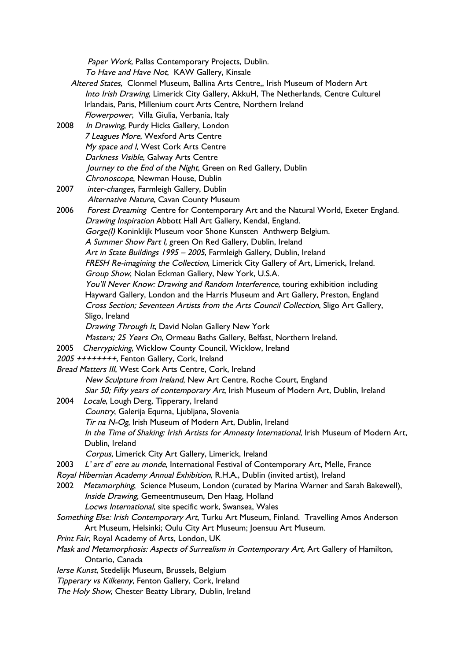Paper Work, Pallas Contemporary Projects, Dublin.

To Have and Have Not, KAW Gallery, Kinsale

- Altered States, Clonmel Museum, Ballina Arts Centre,, Irish Museum of Modern Art Into Irish Drawing, Limerick City Gallery, AkkuH, The Netherlands, Centre Culturel Irlandais, Paris, Millenium court Arts Centre, Northern Ireland Flowerpower, Villa Giulia, Verbania, Italy
- 2008 In Drawing, Purdy Hicks Gallery, London <sup>7</sup> Leagues More, Wexford Arts Centre My space and I, West Cork Arts Centre Darkness Visible, Galway Arts Centre Journey to the End of the Night, Green on Red Gallery, Dublin Chronoscope, Newman House, Dublin
- 2007 *inter-changes*, Farmleigh Gallery, Dublin Alternative Nature, Cavan County Museum
- 2006 Forest Dreaming Centre for Contemporary Art and the Natural World, Exeter England. Drawing Inspiration Abbott Hall Art Gallery, Kendal, England. Gorge(I) Koninklijk Museum voor Shone Kunsten Anthwerp Belgium. <sup>A</sup> Summer Show Part I, green On Red Gallery, Dublin, Ireland Art in State Buildings 1995 – 2005, Farmleigh Gallery, Dublin, Ireland FRESH Re-imagining the Collection, Limerick City Gallery of Art, Limerick, Ireland. Group Show, Nolan Eckman Gallery, New York, U.S.A. You'll Never Know: Drawing and Random Interference, touring exhibition including Hayward Gallery, London and the Harris Museum and Art Gallery, Preston, England Cross Section; Seventeen Artists from the Arts Council Collection, Sligo Art Gallery, Sligo, Ireland Drawing Through It, David Nolan Gallery New York Masters; 25 Years On, Ormeau Baths Gallery, Belfast, Northern Ireland. 2005 Cherrypicking, Wicklow County Council, Wicklow, Ireland 2005 ++++++++, Fenton Gallery, Cork, Ireland Bread Matters III, West Cork Arts Centre, Cork, Ireland New Sculpture from Ireland, New Art Centre, Roche Court, England Siar 50; Fifty years of contemporary Art, Irish Museum of Modern Art, Dublin, Ireland
- 2004 Locale, Lough Derg, Tipperary, Ireland
	- Country, Galerija Equrna, Ljubljana, Slovenia
		- Tir na N-Og, Irish Museum of Modern Art, Dublin, Ireland
		- In the Time of Shaking: Irish Artists for Amnesty International, Irish Museum of Modern Art, Dublin, Ireland
		- Corpus, Limerick City Art Gallery, Limerick, Ireland
- 2003 L' art d' etre au monde, International Festival of Contemporary Art, Melle, France
- Royal Hibernian Academy Annual Exhibition, R.H.A., Dublin (invited artist), Ireland
- 2002 Metamorphing, Science Museum, London (curated by Marina Warner and Sarah Bakewell), Inside Drawing, Gemeentmuseum, Den Haag, Holland
	- Locws International, site specific work, Swansea, Wales
- Something Else: Irish Contemporary Art, Turku Art Museum, Finland. Travelling Amos Anderson Art Museum, Helsinki; Oulu City Art Museum; Joensuu Art Museum.
- Print Fair, Royal Academy of Arts, London, UK
- Mask and Metamorphosis: Aspects of Surrealism in Contemporary Art, Art Gallery of Hamilton, Ontario, Canada
- Ierse Kunst, Stedelijk Museum, Brussels, Belgium
- Tipperary vs Kilkenny, Fenton Gallery, Cork, Ireland
- The Holy Show, Chester Beatty Library, Dublin, Ireland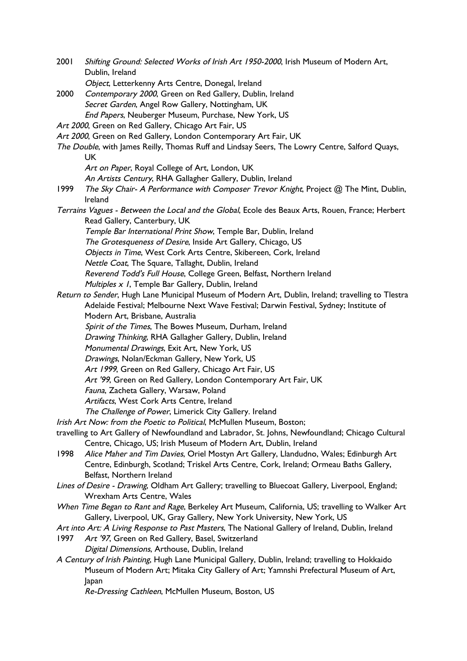- 2001 Shifting Ground: Selected Works of Irish Art 1950-2000, Irish Museum of Modern Art, Dublin, Ireland Object, Letterkenny Arts Centre, Donegal, Ireland 2000 Contemporary 2000, Green on Red Gallery, Dublin, Ireland Secret Garden, Angel Row Gallery, Nottingham, UK
- End Papers, Neuberger Museum, Purchase, New York, US
- Art 2000, Green on Red Gallery, Chicago Art Fair, US
- Art 2000, Green on Red Gallery, London Contemporary Art Fair, UK
- The Double, with James Reilly, Thomas Ruff and Lindsay Seers, The Lowry Centre, Salford Quays, UK
	- Art on Paper, Royal College of Art, London, UK
	- An Artists Century, RHA Gallagher Gallery, Dublin, Ireland
- 1999 The Sky Chair- A Performance with Composer Trevor Knight, Project @ The Mint, Dublin, Ireland
- Terrains Vagues Between the Local and the Global, Ecole des Beaux Arts, Rouen, France; Herbert Read Gallery, Canterbury, UK
	- Temple Bar International Print Show, Temple Bar, Dublin, Ireland
	- The Grotesqueness of Desire, Inside Art Gallery, Chicago, US
	- Objects in Time, West Cork Arts Centre, Skibereen, Cork, Ireland
	- Nettle Coat, The Square, Tallaght, Dublin, Ireland
	- Reverend Todd's Full House, College Green, Belfast, Northern Ireland
	- Multiples x 1, Temple Bar Gallery, Dublin, Ireland
- Return to Sender, Hugh Lane Municipal Museum of Modern Art, Dublin, Ireland; travelling to Tlestra Adelaide Festival; Melbourne Next Wave Festival; Darwin Festival, Sydney; Institute of Modern Art, Brisbane, Australia
	- Spirit of the Times, The Bowes Museum, Durham, Ireland
	- Drawing Thinking, RHA Gallagher Gallery, Dublin, Ireland
	- Monumental Drawings, Exit Art, New York, US
	- Drawings, Nolan/Eckman Gallery, New York, US
	- Art 1999, Green on Red Gallery, Chicago Art Fair, US
	- Art '99, Green on Red Gallery, London Contemporary Art Fair, UK
	- Fauna, Zacheta Gallery, Warsaw, Poland
	- Artifacts, West Cork Arts Centre, Ireland
	- The Challenge of Power, Limerick City Gallery. Ireland
- Irish Art Now: from the Poetic to Political, McMullen Museum, Boston;
- travelling to Art Gallery of Newfoundland and Labrador, St. Johns, Newfoundland; Chicago Cultural Centre, Chicago, US; Irish Museum of Modern Art, Dublin, Ireland
- 1998 Alice Maher and Tim Davies, Oriel Mostyn Art Gallery, Llandudno, Wales; Edinburgh Art Centre, Edinburgh, Scotland; Triskel Arts Centre, Cork, Ireland; Ormeau Baths Gallery, Belfast, Northern Ireland
- Lines of Desire Drawing, Oldham Art Gallery; travelling to Bluecoat Gallery, Liverpool, England; Wrexham Arts Centre, Wales
- When Time Began to Rant and Rage, Berkeley Art Museum, California, US; travelling to Walker Art Gallery, Liverpool, UK, Gray Gallery, New York University, New York, US
- Art into Art: A Living Response to Past Masters, The National Gallery of Ireland, Dublin, Ireland
- 1997 Art '97, Green on Red Gallery, Basel, Switzerland Digital Dimensions, Arthouse, Dublin, Ireland
- <sup>A</sup> Century of Irish Painting, Hugh Lane Municipal Gallery, Dublin, Ireland; travelling to Hokkaido Museum of Modern Art; Mitaka City Gallery of Art; Yamnshi Prefectural Museum of Art, Japan
	- Re-Dressing Cathleen, McMullen Museum, Boston, US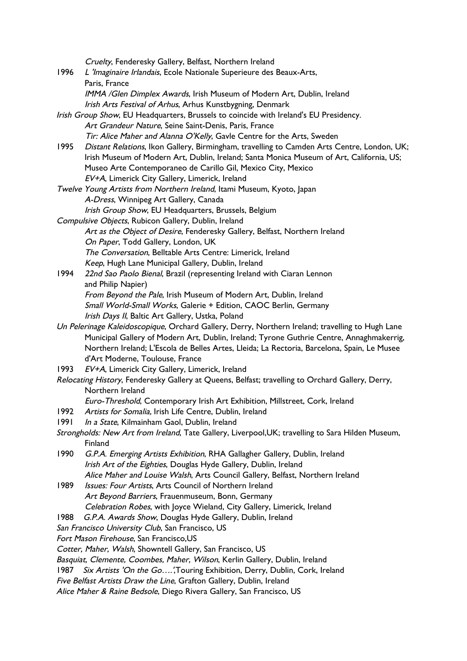Cruelty, Fenderesky Gallery, Belfast, Northern Ireland 1996 L 'Imaginaire Irlandais, Ecole Nationale Superieure des Beaux-Arts, Paris, France IMMA /Glen Dimplex Awards, Irish Museum of Modern Art, Dublin, Ireland Irish Arts Festival of Arhus, Arhus Kunstbygning, Denmark Irish Group Show, EU Headquarters, Brussels to coincide with Ireland's EU Presidency. Art Grandeur Nature, Seine Saint-Denis, Paris, France Tir: Alice Maher and Alanna O'Kelly, Gavle Centre for the Arts, Sweden 1995 Distant Relations, Ikon Gallery, Birmingham, travelling to Camden Arts Centre, London, UK; Irish Museum of Modern Art, Dublin, Ireland; Santa Monica Museum of Art, California, US; Museo Arte Contemporaneo de Carillo Gil, Mexico City, Mexico EV+A, Limerick City Gallery, Limerick, Ireland Twelve Young Artists from Northern Ireland, Itami Museum, Kyoto, Japan A-Dress, Winnipeg Art Gallery, Canada Irish Group Show, EU Headquarters, Brussels, Belgium Compulsive Objects, Rubicon Gallery, Dublin, Ireland Art as the Object of Desire, Fenderesky Gallery, Belfast, Northern Ireland On Paper, Todd Gallery, London, UK The Conversation, Belltable Arts Centre: Limerick, Ireland Keep, Hugh Lane Municipal Gallery, Dublin, Ireland 1994 22nd Sao Paolo Bienal, Brazil (representing Ireland with Ciaran Lennon and Philip Napier) From Beyond the Pale, Irish Museum of Modern Art, Dublin, Ireland Small World-Small Works, Galerie + Edition, CAOC Berlin, Germany Irish Days II, Baltic Art Gallery, Ustka, Poland Un Pelerinage Kaleidoscopique, Orchard Gallery, Derry, Northern Ireland; travelling to Hugh Lane Municipal Gallery of Modern Art, Dublin, Ireland; Tyrone Guthrie Centre, Annaghmakerrig, Northern Ireland; L'Escola de Belles Artes, Lleida; La Rectoria, Barcelona, Spain, Le Musee d'Art Moderne, Toulouse, France 1993 EV+A, Limerick City Gallery, Limerick, Ireland Relocating History, Fenderesky Gallery at Queens, Belfast; travelling to Orchard Gallery, Derry, Northern Ireland Euro-Threshold, Contemporary Irish Art Exhibition, Millstreet, Cork, Ireland 1992 Artists for Somalia, Irish Life Centre, Dublin, Ireland 1991 In a State, Kilmainham Gaol, Dublin, Ireland Strongholds: New Art from Ireland, Tate Gallery, Liverpool, UK; travelling to Sara Hilden Museum, Finland 1990 G.P.A. Emerging Artists Exhibition, RHA Gallagher Gallery, Dublin, Ireland Irish Art of the Eighties, Douglas Hyde Gallery, Dublin, Ireland Alice Maher and Louise Walsh, Arts Council Gallery, Belfast, Northern Ireland 1989 Issues: Four Artists, Arts Council of Northern Ireland Art Beyond Barriers, Frauenmuseum, Bonn, Germany Celebration Robes, with Joyce Wieland, City Gallery, Limerick, Ireland 1988 G.P.A. Awards Show, Douglas Hyde Gallery, Dublin, Ireland San Francisco University Club, San Francisco, US Fort Mason Firehouse, San Francisco,US Cotter, Maher, Walsh, Showntell Gallery, San Francisco, US Basquiat, Clemente, Coombes, Maher, Wilson, Kerlin Gallery, Dublin, Ireland 1987 Six Artists 'On the Go....', Touring Exhibition, Derry, Dublin, Cork, Ireland Five Belfast Artists Draw the Line, Grafton Gallery, Dublin, Ireland Alice Maher & Raine Bedsole, Diego Rivera Gallery, San Francisco, US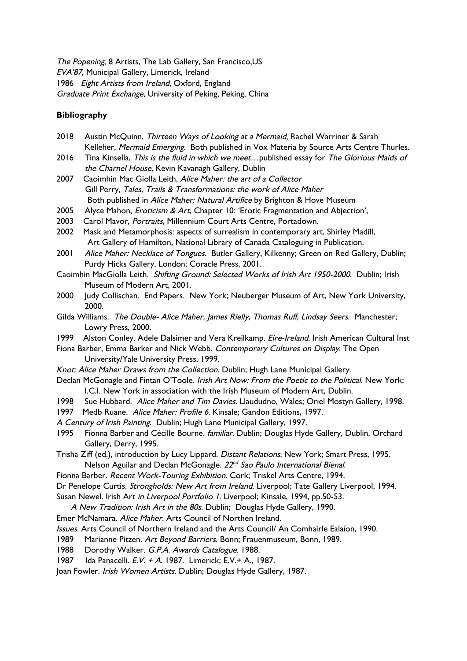The Popening, 8 Artists, The Lab Gallery, San Francisco,US EVA'87, Municipal Gallery, Limerick, Ireland 1986 Eight Artists from Ireland, Oxford, England Graduate Print Exchange, University of Peking, Peking, China

## **Bibliography**

- 2018 Austin McQuinn, Thirteen Ways of Looking at a Mermaid, Rachel Warriner & Sarah Kelleher, Mermaid Emerging. Both published in Vox Materia by Source Arts Centre Thurles.
- 2016 Tina Kinsella, This is the fluid in which we meet... published essay for The Glorious Maids of the Charnel House, Kevin Kavanagh Gallery, Dublin
- 2007 Caoimhin Mac Giolla Leith, Alice Maher: the art of a Collector Gill Perry, Tales, Trails & Transformations: the work of Alice Maher Both published in Alice Maher: Natural Artifice by Brighton & Hove Museum
- 2005 Alyce Mahon, *Eroticism & Art*, Chapter 10: 'Erotic Fragmentation and Abjection',
- 2003 Carol Mavor, Portraits, Millennium Court Arts Centre, Portadown.
- 2002 Mask and Metamorphosis: aspects of surrealism in contemporary art, Shirley Madill, Art Gallery of Hamilton, National Library of Canada Cataloguing in Publication.
- 2001 Alice Maher: Necklace of Tongues. Butler Gallery, Kilkenny; Green on Red Gallery, Dublin; Purdy Hicks Gallery, London; Coracle Press, 2001.
- Caoimhin MacGiolla Leith. Shifting Ground: Selected Works of Irish Art 1950-2000. Dublin; Irish Museum of Modern Art, 2001.
- 2000 Judy Collischan. End Papers. New York; Neuberger Museum of Art, New York University, 2000.
- Gilda Williams. The Double- Alice Maher, James Rielly, Thomas Ruff, Lindsay Seers. Manchester; Lowry Press, 2000.
- 1999 Alston Conley, Adele Dalsimer and Vera Kreilkamp. *Eire-Ireland*. Irish American Cultural Inst
- Fiona Barber, Emma Barker and Nick Webb. Contemporary Cultures on Display. The Open University/Yale University Press, 1999.
- Knot: Alice Maher Draws from the Collection. Dublin; Hugh Lane Municipal Gallery.
- Declan McGonagle and Fintan O'Toole. Irish Art Now: From the Poetic to the Political. New York; I.C.I. New York in association with the Irish Museum of Modern Art, Dublin.
- 1998 Sue Hubbard. Alice Maher and Tim Davies. Llaududno, Wales; Oriel Mostyn Gallery, 1998.
- 1997 Medb Ruane. Alice Maher: Profile 6. Kinsale; Gandon Editions, 1997.
- <sup>A</sup> Century of Irish Painting. Dublin; Hugh Lane Municipal Gallery, 1997.
- 1995 Fionna Barber and Cécille Bourne. familiar. Dublin; Douglas Hyde Gallery, Dublin, Orchard Gallery, Derry, 1995.
- Trisha Ziff (ed.), introduction by Lucy Lippard. Distant Relations. New York; Smart Press, 1995. Nelson Aguilar and Declan McGonagle. 22<sup>nd</sup> Sa*o Paulo International Bienal*.
- Fionna Barber. Recent Work-Touring Exhibition. Cork; Triskel Arts Centre, 1994.
- Dr Penelope Curtis. Strongholds: New Art from Ireland. Liverpool; Tate Gallery Liverpool, 1994.
- Susan Newel. Irish Art in Liverpool Portfolio 1. Liverpool; Kinsale, 1994, pp.50-53.
- <sup>A</sup> New Tradition: Irish Art in the 80s. Dublin; Douglas Hyde Gallery, 1990.
- Emer McNamara. Alice Maher. Arts Council of Northen Ireland.
- Issues. Arts Council of Northern Ireland and the Arts Council/ An Comhairle Ealaíon, 1990.
- 1989 Marianne Pitzen. Art Beyond Barriers. Bonn; Frauenmuseum, Bonn, 1989.
- 1988 Dorothy Walker. G.P.A. Awards Catalogue. 1988.
- 1987 Ida Panacelli. E.V. <sup>+</sup> <sup>A</sup>. 1987. Limerick; E.V.+ A., 1987.
- Joan Fowler. Irish Women Artists. Dublin; Douglas Hyde Gallery, 1987.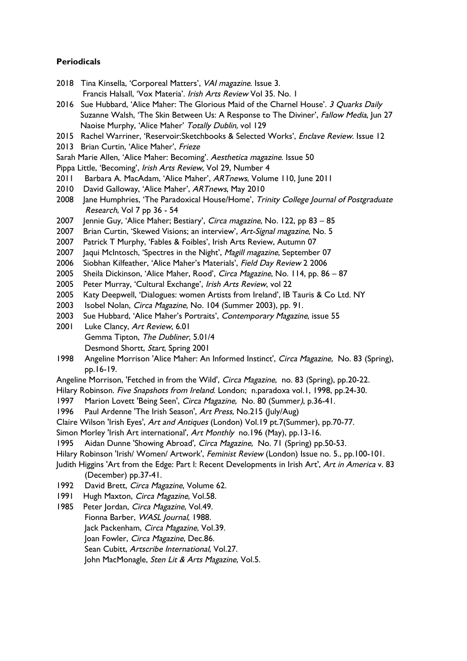#### **Periodicals**

- 2018 Tina Kinsella, 'Corporeal Matters', VAI magazine. Issue 3. Francis Halsall, 'Vox Materia'. Irish Arts Review Vol 35. No. 1
- 2016 Sue Hubbard, 'Alice Maher: The Glorious Maid of the Charnel House'. 3 Quarks Daily Suzanne Walsh, 'The Skin Between Us: A Response to The Diviner', Fallow Media, Jun 27 Naoise Murphy, 'Alice Maher' Totally Dublin, vol 129
- 2015 Rachel Warriner, 'Reservoir: Sketchbooks & Selected Works', Enclave Review. Issue 12
- 2013 Brian Curtin, 'Alice Maher', Frieze
- Sarah Marie Allen, 'Alice Maher: Becoming'. Aesthetica magazine. Issue 50
- Pippa Little, 'Becoming', Irish Arts Review, Vol 29, Number 4
- 2011 Barbara A. MacAdam, 'Alice Maher', ARTnews, Volume 110, June 2011
- 2010 David Galloway, 'Alice Maher', ARTnews, May 2010
- 2008 Jane Humphries, 'The Paradoxical House/Home', Trinity College Journal of Postgraduate Research, Vol 7 pp 36 - 54
- 2007 Jennie Guy, 'Alice Maher; Bestiary', Circa magazine, No. 122, pp 83 85
- 2007 Brian Curtin, 'Skewed Visions; an interview', Art-Signal magazine, No. 5
- 2007 Patrick T Murphy, 'Fables & Foibles', Irish Arts Review, Autumn 07
- 2007 Jaqui McIntosch, 'Spectres in the Night', Magill magazine, September 07
- 2006 Siobhan Kilfeather, 'Alice Maher's Materials', Field Day Review 2 2006
- 2005 Sheila Dickinson, 'Alice Maher, Rood', Circa Magazine, No. 114, pp. 86 87
- 2005 Peter Murray, 'Cultural Exchange', Irish Arts Review, vol 22
- 2005 Katy Deepwell, 'Dialogues: women Artists from Ireland', IB Tauris & Co Ltd. NY
- 2003 Isobel Nolan, Circa Magazine, No. 104 (Summer 2003), pp. 91.
- 2003 Sue Hubbard, 'Alice Maher's Portraits', Contemporary Magazine, issue 55
- 2001 Luke Clancy, Art Review, 6.01 Gemma Tipton, The Dubliner, 5.01/4
	- Desmond Shortt, Start, Spring 2001
- 1998 Angeline Morrison 'Alice Maher: An Informed Instinct', Circa Magazine, No. 83 (Spring), pp.16-19.
- Angeline Morrison, 'Fetched in from the Wild', Circa Magazine, no. 83 (Spring), pp.20-22.
- Hilary Robinson. Five Snapshots from Ireland. London; n.paradoxa vol.1, 1998, pp.24-30.
- 1997 Marion Lovett 'Being Seen', Circa Magazine, No. 80 (Summer), p.36-41.
- 1996 Paul Ardenne 'The Irish Season', Art Press, No.215 (July/Aug)
- Claire Wilson 'Irish Eyes', Art and Antiques (London) Vol.19 pt.7(Summer), pp.70-77.
- Simon Morley 'Irish Art international', Art Monthly no.196 (May), pp.13-16.
- 1995 Aidan Dunne 'Showing Abroad', Circa Magazine, No. 71 (Spring) pp.50-53.
- Hilary Robinson 'Irish/ Women/ Artwork', Feminist Review (London) Issue no. 5., pp.100-101.
- Judith Higgins 'Art from the Edge: Part I: Recent Developments in Irish Art', Art in America v. 83 (December) pp.37-41.
- 1992 David Brett, Circa Magazine, Volume 62.
- 1991 Hugh Maxton, Circa Magazine, Vol.58.
- 1985 Peter Jordan, Circa Magazine, Vol.49. Fionna Barber, WASL Journal, 1988. Jack Packenham, Circa Magazine, Vol.39. Joan Fowler, Circa Magazine, Dec.86. Sean Cubitt, Artscribe International, Vol.27. John MacMonagle, Sten Lit & Arts Magazine, Vol.5.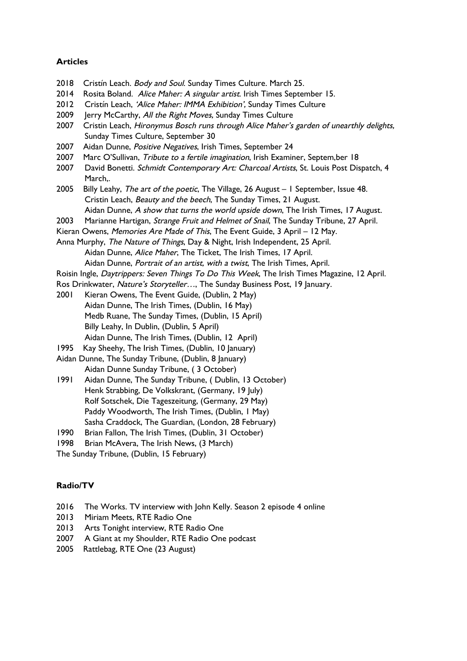#### **Articles**

- 2018 Cristín Leach. Body and Soul. Sunday Times Culture. March 25.
- 2014 Rosita Boland. Alice Maher: A singular artist. Irish Times September 15.
- 2012 Cristín Leach, 'Alice Maher: IMMA Exhibition', Sunday Times Culture
- 2009 Jerry McCarthy, All the Right Moves, Sunday Times Culture
- 2007 Cristin Leach, Hironymus Bosch runs through Alice Maher's garden of unearthly delights, Sunday Times Culture, September 30
- 2007 Aidan Dunne, Positive Negatives, Irish Times, September 24
- 2007 Marc O'Sullivan, Tribute to a fertile imagination, Irish Examiner, Septem, ber 18
- 2007 David Bonetti. Schmidt Contemporary Art: Charcoal Artists, St. Louis Post Dispatch, 4 March,.
- 2005 Billy Leahy, The art of the poetic, The Village, 26 August I September, Issue 48. Cristin Leach, Beauty and the beech, The Sunday Times, 21 August. Aidan Dunne, A show that turns the world upside down, The Irish Times, 17 August.
- 2003 Marianne Hartigan, Strange Fruit and Helmet of Snail, The Sunday Tribune, 27 April.
- Kieran Owens, Memories Are Made of This, The Event Guide, 3 April 12 May.
- Anna Murphy, *The Nature of Things*, Day & Night, Irish Independent, 25 April. Aidan Dunne, Alice Maher, The Ticket, The Irish Times, 17 April. Aidan Dunne, Portrait of an artist, with a twist, The Irish Times, April.
- Roisin Ingle, Daytrippers: Seven Things To Do This Week, The Irish Times Magazine, 12 April.
- Ros Drinkwater, Nature's Storyteller..., The Sunday Business Post, 19 January.
- 2001 Kieran Owens, The Event Guide, (Dublin, 2 May) Aidan Dunne, The Irish Times, (Dublin, 16 May) Medb Ruane, The Sunday Times, (Dublin, 15 April) Billy Leahy, In Dublin, (Dublin, 5 April) Aidan Dunne, The Irish Times, (Dublin, 12 April)
- 1995 Kay Sheehy, The Irish Times, (Dublin, 10 January)
- Aidan Dunne, The Sunday Tribune, (Dublin, 8 January) Aidan Dunne Sunday Tribune, ( 3 October)
- 1991 Aidan Dunne, The Sunday Tribune, ( Dublin, 13 October) Henk Strabbing, De Volkskrant, (Germany, 19 July) Rolf Sotschek, Die Tageszeitung, (Germany, 29 May) Paddy Woodworth, The Irish Times, (Dublin, 1 May) Sasha Craddock, The Guardian, (London, 28 February)
- 1990 Brian Fallon, The Irish Times, (Dublin, 31 October)
- 1998 Brian McAvera, The Irish News, (3 March)
- The Sunday Tribune, (Dublin, 15 February)

#### **Radio/TV**

- 2016 The Works. TV interview with John Kelly. Season 2 episode 4 online
- 2013 Miriam Meets, RTE Radio One
- 2013 Arts Tonight interview, RTE Radio One
- 2007 A Giant at my Shoulder, RTE Radio One podcast
- 2005 Rattlebag, RTE One (23 August)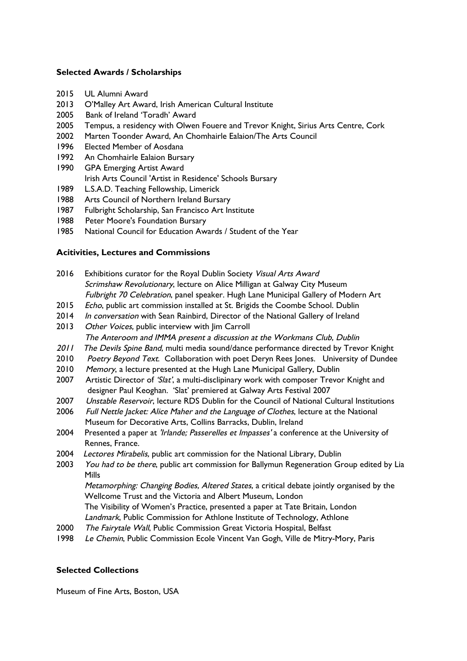## **Selected Awards / Scholarships**

- 2015 UL Alumni Award
- 2013 O'Malley Art Award, Irish American Cultural Institute
- 2005 Bank of Ireland 'Toradh' Award
- 2005 Tempus, a residency with Olwen Fouere and Trevor Knight, Sirius Arts Centre, Cork
- 2002 Marten Toonder Award, An Chomhairle Ealaion/The Arts Council
- 1996 Elected Member of Aosdana
- 1992 An Chomhairle Ealaion Bursary
- 1990 GPA Emerging Artist Award Irish Arts Council 'Artist in Residence' Schools Bursary
- 1989 L.S.A.D. Teaching Fellowship, Limerick
- 1988 Arts Council of Northern Ireland Bursary
- 1987 Fulbright Scholarship, San Francisco Art Institute
- 1988 Peter Moore's Foundation Bursary
- 1985 National Council for Education Awards / Student of the Year

#### **Acitivities, Lectures and Commissions**

- 2016 Exhibitions curator for the Royal Dublin Society Visual Arts Award Scrimshaw Revolutionary, lecture on Alice Milligan at Galway City Museum Fulbright 70 Celebration, panel speaker. Hugh Lane Municipal Gallery of Modern Art
- 2015 Echo, public art commission installed at St. Brigids the Coombe School. Dublin
- 2014 In conversation with Sean Rainbird, Director of the National Gallery of Ireland
- 2013 *Other Voices*, public interview with Jim Carroll The Anteroom and IMMA present <sup>a</sup> discussion at the Workmans Club, Dublin
- 2011 The Devils Spine Band, multi media sound/dance performance directed by Trevor Knight
- 2010 Poetry Beyond Text. Collaboration with poet Deryn Rees Jones. University of Dundee
- 2010 Memory, a lecture presented at the Hugh Lane Municipal Gallery, Dublin
- 2007 Artistic Director of 'Slat', a multi-disclipinary work with composer Trevor Knight and designer Paul Keoghan. 'Slat' premiered at Galway Arts Festival 2007
- 2007 Unstable Reservoir, lecture RDS Dublin for the Council of National Cultural Institutions
- 2006 Full Nettle Jacket: Alice Maher and the Language of Clothes, lecture at the National Museum for Decorative Arts, Collins Barracks, Dublin, Ireland
- 2004 Presented a paper at 'Irlande; Passerelles et Impasses' a conference at the University of Rennes, France.
- 2004 Lectores Mirabelis, public art commission for the National Library, Dublin
- 2003 You had to be there, public art commission for Ballymun Regeneration Group edited by Lia Mills Metamorphing: Changing Bodies, Altered States, a critical debate jointly organised by the Wellcome Trust and the Victoria and Albert Museum, London

The Visibility of Women's Practice, presented a paper at Tate Britain, London

Landmark, Public Commission for Athlone Institute of Technology, Athlone

- 2000 The Fairytale Wall, Public Commission Great Victoria Hospital, Belfast
- 1998 Le Chemin, Public Commission Ecole Vincent Van Gogh, Ville de Mitry-Mory, Paris

# **Selected Collections**

Museum of Fine Arts, Boston, USA